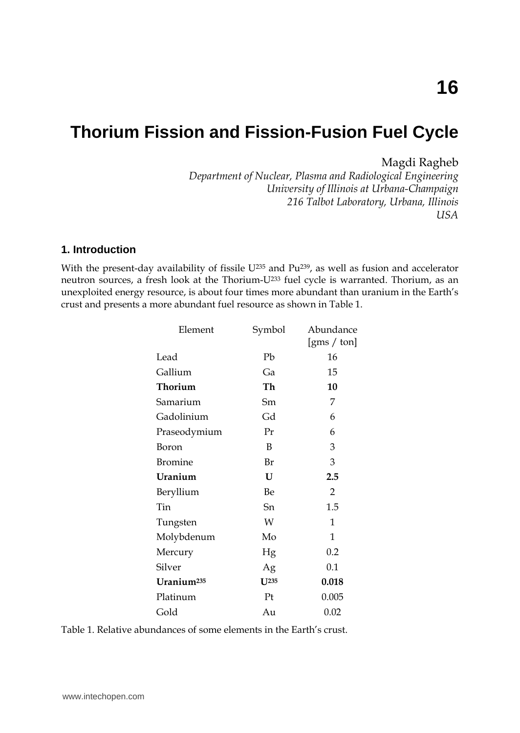# **Thorium Fission and Fission-Fusion Fuel Cycle**

## Magdi Ragheb

*Department of Nuclear, Plasma and Radiological Engineering University of Illinois at Urbana-Champaign 216 Talbot Laboratory, Urbana, Illinois USA* 

## **1. Introduction**

With the present-day availability of fissile  $U^{235}$  and  $Pu^{239}$ , as well as fusion and accelerator neutron sources, a fresh look at the Thorium-U233 fuel cycle is warranted. Thorium, as an unexploited energy resource, is about four times more abundant than uranium in the Earth's crust and presents a more abundant fuel resource as shown in Table 1.

| Element                | Symbol   | Abundance                                |
|------------------------|----------|------------------------------------------|
|                        |          | $\left[\text{gms}\,/\,\text{ton}\right]$ |
| Lead                   | Pb       | 16                                       |
| Gallium                | Ga       | 15                                       |
| Thorium                | Th       | 10                                       |
| Samarium               | Sm       | 7                                        |
| Gadolinium             | Gd       | 6                                        |
| Praseodymium           | Pr       | 6                                        |
| Boron                  | B        | 3                                        |
| <b>Bromine</b>         | Br       | 3                                        |
| Uranium                | U        | 2.5                                      |
| Beryllium              | Be       | $\overline{2}$                           |
| Tin                    | Sn       | 1.5                                      |
| Tungsten               | W        | 1                                        |
| Molybdenum             | Mo       | 1                                        |
| Mercury                | Hg       | 0.2                                      |
| Silver                 | Ag       | 0.1                                      |
| Uranium <sup>235</sup> | $I$ J235 | 0.018                                    |
| Platinum               | Pt       | 0.005                                    |
| Gold                   | Au       | 0.02                                     |

Table 1. Relative abundances of some elements in the Earth's crust.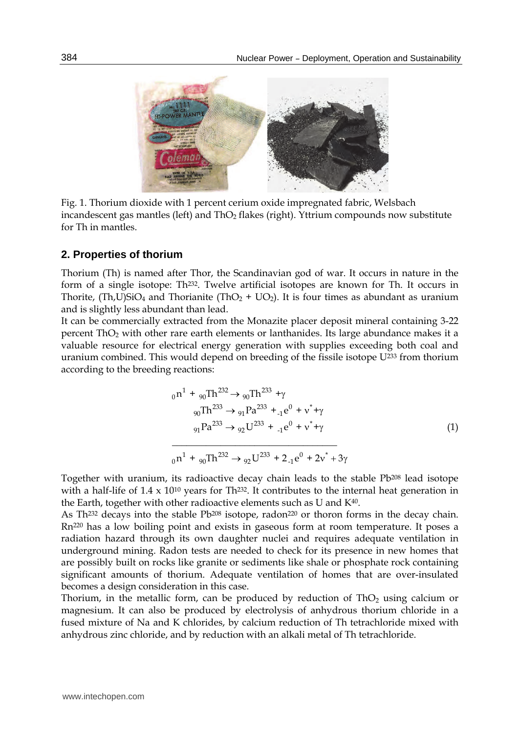

Fig. 1. Thorium dioxide with 1 percent cerium oxide impregnated fabric, Welsbach incandescent gas mantles (left) and  $ThO<sub>2</sub>$  flakes (right). Yttrium compounds now substitute for Th in mantles.

### **2. Properties of thorium**

Thorium (Th) is named after Thor, the Scandinavian god of war. It occurs in nature in the form of a single isotope: Th232. Twelve artificial isotopes are known for Th. It occurs in Thorite, (Th,U)SiO<sub>4</sub> and Thorianite (ThO<sub>2</sub> + UO<sub>2</sub>). It is four times as abundant as uranium and is slightly less abundant than lead.

It can be commercially extracted from the Monazite placer deposit mineral containing 3-22 percent ThO<sub>2</sub> with other rare earth elements or lanthanides. Its large abundance makes it a valuable resource for electrical energy generation with supplies exceeding both coal and uranium combined. This would depend on breeding of the fissile isotope U233 from thorium according to the breeding reactions:

$$
{}_{0}n^{1} + {}_{90}Th^{232} \rightarrow {}_{90}Th^{233} + \gamma
$$
  
\n
$$
{}_{90}Th^{233} \rightarrow {}_{91}Pa^{233} + {}_{1}e^{0} + \nu^{*} + \gamma
$$
  
\n
$$
{}_{91}Pa^{233} \rightarrow {}_{92}U^{233} + {}_{1}e^{0} + \nu^{*} + \gamma
$$
  
\n
$$
{}_{0}n^{1} + {}_{90}Th^{232} \rightarrow {}_{92}U^{233} + 2 {}_{1}e^{0} + 2\nu^{*} + 3\gamma
$$
\n(1)

Together with uranium, its radioactive decay chain leads to the stable Pb208 lead isotope with a half-life of  $1.4 \times 10^{10}$  years for Th<sup>232</sup>. It contributes to the internal heat generation in the Earth, together with other radioactive elements such as U and K40.

As Th<sup>232</sup> decays into the stable Pb<sup>208</sup> isotope, radon<sup>220</sup> or thoron forms in the decay chain. Rn220 has a low boiling point and exists in gaseous form at room temperature. It poses a radiation hazard through its own daughter nuclei and requires adequate ventilation in underground mining. Radon tests are needed to check for its presence in new homes that are possibly built on rocks like granite or sediments like shale or phosphate rock containing significant amounts of thorium. Adequate ventilation of homes that are over-insulated becomes a design consideration in this case.

Thorium, in the metallic form, can be produced by reduction of  $ThO<sub>2</sub>$  using calcium or magnesium. It can also be produced by electrolysis of anhydrous thorium chloride in a fused mixture of Na and K chlorides, by calcium reduction of Th tetrachloride mixed with anhydrous zinc chloride, and by reduction with an alkali metal of Th tetrachloride.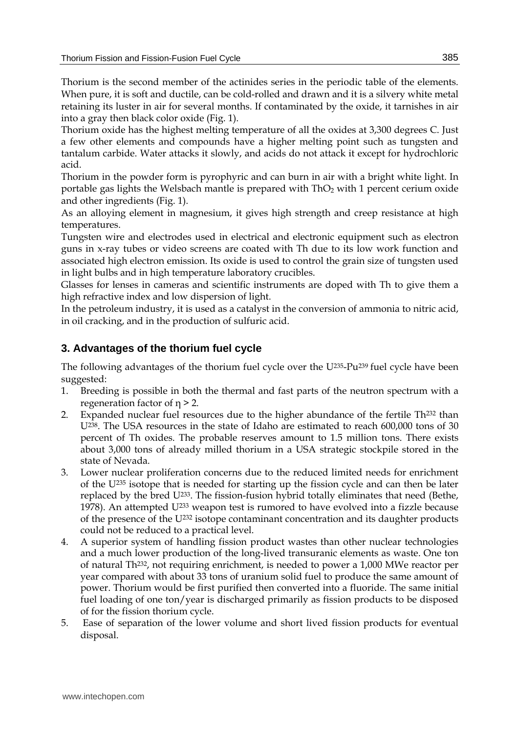Thorium is the second member of the actinides series in the periodic table of the elements. When pure, it is soft and ductile, can be cold-rolled and drawn and it is a silvery white metal retaining its luster in air for several months. If contaminated by the oxide, it tarnishes in air into a gray then black color oxide (Fig. 1).

Thorium oxide has the highest melting temperature of all the oxides at 3,300 degrees C. Just a few other elements and compounds have a higher melting point such as tungsten and tantalum carbide. Water attacks it slowly, and acids do not attack it except for hydrochloric acid.

Thorium in the powder form is pyrophyric and can burn in air with a bright white light. In portable gas lights the Welsbach mantle is prepared with  $ThO<sub>2</sub>$  with 1 percent cerium oxide and other ingredients (Fig. 1).

As an alloying element in magnesium, it gives high strength and creep resistance at high temperatures.

Tungsten wire and electrodes used in electrical and electronic equipment such as electron guns in x-ray tubes or video screens are coated with Th due to its low work function and associated high electron emission. Its oxide is used to control the grain size of tungsten used in light bulbs and in high temperature laboratory crucibles.

Glasses for lenses in cameras and scientific instruments are doped with Th to give them a high refractive index and low dispersion of light.

In the petroleum industry, it is used as a catalyst in the conversion of ammonia to nitric acid, in oil cracking, and in the production of sulfuric acid.

# **3. Advantages of the thorium fuel cycle**

The following advantages of the thorium fuel cycle over the U235-Pu239 fuel cycle have been suggested:

- 1. Breeding is possible in both the thermal and fast parts of the neutron spectrum with a regeneration factor of  $\eta$  > 2.
- 2. Expanded nuclear fuel resources due to the higher abundance of the fertile  $Th^{232}$  than U238. The USA resources in the state of Idaho are estimated to reach 600,000 tons of 30 percent of Th oxides. The probable reserves amount to 1.5 million tons. There exists about 3,000 tons of already milled thorium in a USA strategic stockpile stored in the state of Nevada.
- 3. Lower nuclear proliferation concerns due to the reduced limited needs for enrichment of the  $U^{235}$  isotope that is needed for starting up the fission cycle and can then be later replaced by the bred U233. The fission-fusion hybrid totally eliminates that need (Bethe, 1978). An attempted U233 weapon test is rumored to have evolved into a fizzle because of the presence of the U232 isotope contaminant concentration and its daughter products could not be reduced to a practical level.
- 4. A superior system of handling fission product wastes than other nuclear technologies and a much lower production of the long-lived transuranic elements as waste. One ton of natural Th232, not requiring enrichment, is needed to power a 1,000 MWe reactor per year compared with about 33 tons of uranium solid fuel to produce the same amount of power. Thorium would be first purified then converted into a fluoride. The same initial fuel loading of one ton/year is discharged primarily as fission products to be disposed of for the fission thorium cycle.
- 5. Ease of separation of the lower volume and short lived fission products for eventual disposal.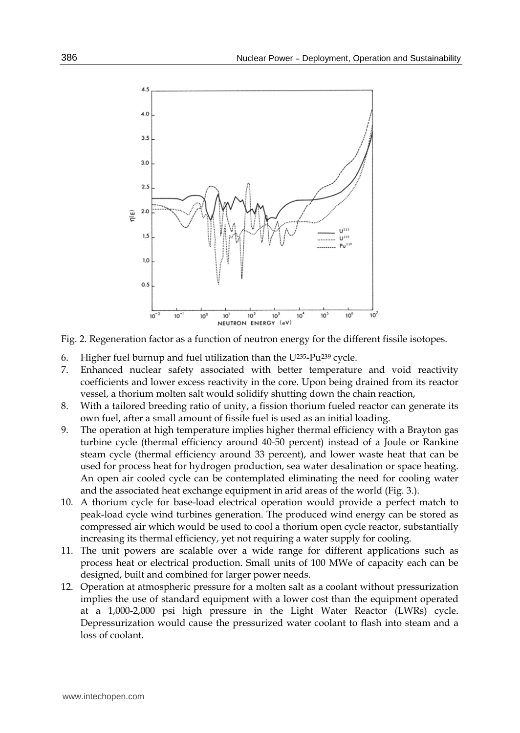

Fig. 2. Regeneration factor as a function of neutron energy for the different fissile isotopes.

- 6. Higher fuel burnup and fuel utilization than the U235-Pu239 cycle.
- 7. Enhanced nuclear safety associated with better temperature and void reactivity coefficients and lower excess reactivity in the core. Upon being drained from its reactor vessel, a thorium molten salt would solidify shutting down the chain reaction,
- 8. With a tailored breeding ratio of unity, a fission thorium fueled reactor can generate its own fuel, after a small amount of fissile fuel is used as an initial loading.
- 9. The operation at high temperature implies higher thermal efficiency with a Brayton gas turbine cycle (thermal efficiency around 40-50 percent) instead of a Joule or Rankine steam cycle (thermal efficiency around 33 percent), and lower waste heat that can be used for process heat for hydrogen production, sea water desalination or space heating. An open air cooled cycle can be contemplated eliminating the need for cooling water and the associated heat exchange equipment in arid areas of the world (Fig. 3.).
- 10. A thorium cycle for base-load electrical operation would provide a perfect match to peak-load cycle wind turbines generation. The produced wind energy can be stored as compressed air which would be used to cool a thorium open cycle reactor, substantially increasing its thermal efficiency, yet not requiring a water supply for cooling.
- 11. The unit powers are scalable over a wide range for different applications such as process heat or electrical production. Small units of 100 MWe of capacity each can be designed, built and combined for larger power needs.
- 12. Operation at atmospheric pressure for a molten salt as a coolant without pressurization implies the use of standard equipment with a lower cost than the equipment operated at a 1,000-2,000 psi high pressure in the Light Water Reactor (LWRs) cycle. Depressurization would cause the pressurized water coolant to flash into steam and a loss of coolant.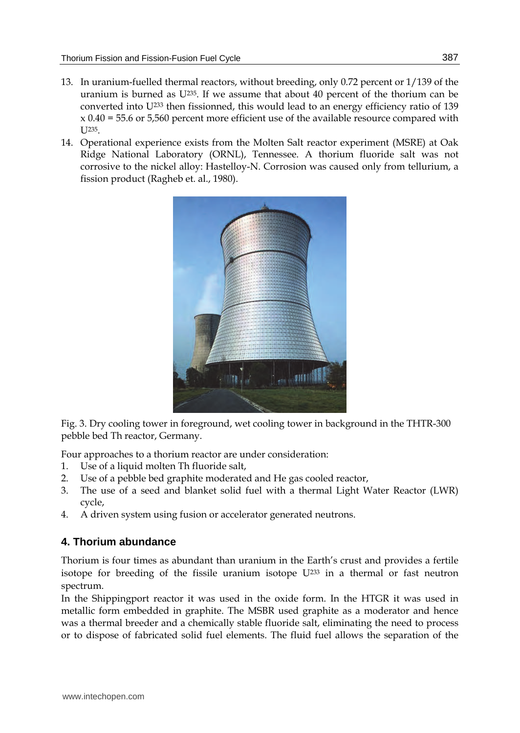- 13. In uranium-fuelled thermal reactors, without breeding, only 0.72 percent or 1/139 of the uranium is burned as  $U^{235}$ . If we assume that about 40 percent of the thorium can be converted into U233 then fissionned, this would lead to an energy efficiency ratio of 139  $x$  0.40 = 55.6 or 5,560 percent more efficient use of the available resource compared with I J235
- 14. Operational experience exists from the Molten Salt reactor experiment (MSRE) at Oak Ridge National Laboratory (ORNL), Tennessee. A thorium fluoride salt was not corrosive to the nickel alloy: Hastelloy-N. Corrosion was caused only from tellurium, a fission product (Ragheb et. al., 1980).



Fig. 3. Dry cooling tower in foreground, wet cooling tower in background in the THTR-300 pebble bed Th reactor, Germany.

Four approaches to a thorium reactor are under consideration:

- 1. Use of a liquid molten Th fluoride salt,
- 2. Use of a pebble bed graphite moderated and He gas cooled reactor,
- 3. The use of a seed and blanket solid fuel with a thermal Light Water Reactor (LWR) cycle,
- 4. A driven system using fusion or accelerator generated neutrons.

# **4. Thorium abundance**

Thorium is four times as abundant than uranium in the Earth's crust and provides a fertile isotope for breeding of the fissile uranium isotope  $U^{233}$  in a thermal or fast neutron spectrum.

In the Shippingport reactor it was used in the oxide form. In the HTGR it was used in metallic form embedded in graphite. The MSBR used graphite as a moderator and hence was a thermal breeder and a chemically stable fluoride salt, eliminating the need to process or to dispose of fabricated solid fuel elements. The fluid fuel allows the separation of the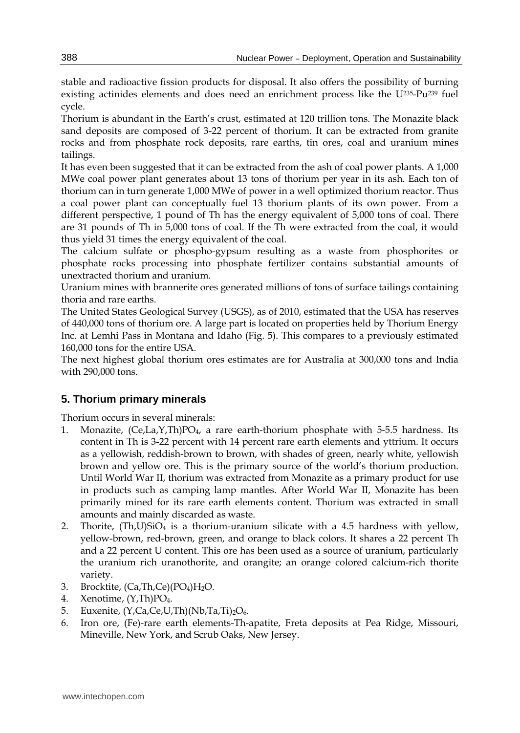stable and radioactive fission products for disposal. It also offers the possibility of burning existing actinides elements and does need an enrichment process like the U235-Pu239 fuel cycle.

Thorium is abundant in the Earth's crust, estimated at 120 trillion tons. The Monazite black sand deposits are composed of 3-22 percent of thorium. It can be extracted from granite rocks and from phosphate rock deposits, rare earths, tin ores, coal and uranium mines tailings.

It has even been suggested that it can be extracted from the ash of coal power plants. A 1,000 MWe coal power plant generates about 13 tons of thorium per year in its ash. Each ton of thorium can in turn generate 1,000 MWe of power in a well optimized thorium reactor. Thus a coal power plant can conceptually fuel 13 thorium plants of its own power. From a different perspective, 1 pound of Th has the energy equivalent of 5,000 tons of coal. There are 31 pounds of Th in 5,000 tons of coal. If the Th were extracted from the coal, it would thus yield 31 times the energy equivalent of the coal.

The calcium sulfate or phospho-gypsum resulting as a waste from phosphorites or phosphate rocks processing into phosphate fertilizer contains substantial amounts of unextracted thorium and uranium.

Uranium mines with brannerite ores generated millions of tons of surface tailings containing thoria and rare earths.

The United States Geological Survey (USGS), as of 2010, estimated that the USA has reserves of 440,000 tons of thorium ore. A large part is located on properties held by Thorium Energy Inc. at Lemhi Pass in Montana and Idaho (Fig. 5). This compares to a previously estimated 160,000 tons for the entire USA.

The next highest global thorium ores estimates are for Australia at 300,000 tons and India with 290,000 tons.

# **5. Thorium primary minerals**

Thorium occurs in several minerals:

- 1. Monazite, (Ce,La,Y,Th)PO<sub>4</sub>, a rare earth-thorium phosphate with 5-5.5 hardness. Its content in Th is 3-22 percent with 14 percent rare earth elements and yttrium. It occurs as a yellowish, reddish-brown to brown, with shades of green, nearly white, yellowish brown and yellow ore. This is the primary source of the world's thorium production. Until World War II, thorium was extracted from Monazite as a primary product for use in products such as camping lamp mantles. After World War II, Monazite has been primarily mined for its rare earth elements content. Thorium was extracted in small amounts and mainly discarded as waste.
- 2. Thorite,  $(Th, U)SiO<sub>4</sub>$  is a thorium-uranium silicate with a 4.5 hardness with yellow, yellow-brown, red-brown, green, and orange to black colors. It shares a 22 percent Th and a 22 percent U content. This ore has been used as a source of uranium, particularly the uranium rich uranothorite, and orangite; an orange colored calcium-rich thorite variety.
- 3. Brocktite, (Ca,Th,Ce)(PO4)H2O.
- 4. Xenotime, (Y,Th)PO<sub>4</sub>.
- 5. Euxenite,  $(Y, Ca, Ce, U, Th)(Nb, Ta, Ti)<sub>2</sub>O<sub>6</sub>.$
- 6. Iron ore, (Fe)-rare earth elements-Th-apatite, Freta deposits at Pea Ridge, Missouri, Mineville, New York, and Scrub Oaks, New Jersey.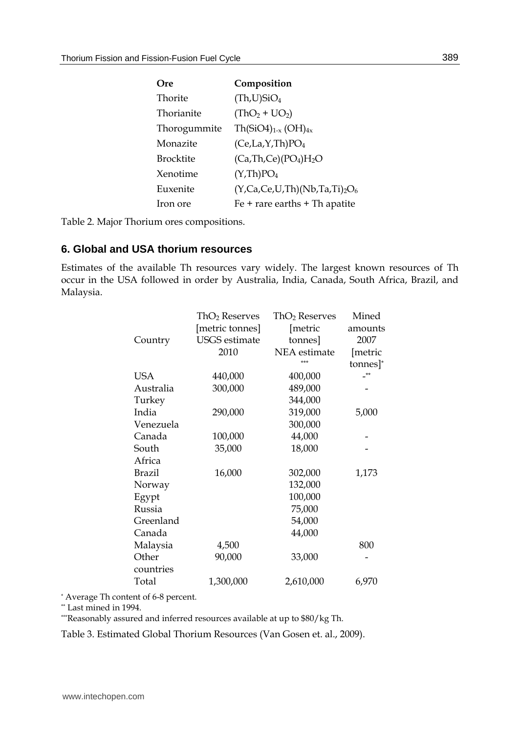| Ore          | Composition                         |
|--------------|-------------------------------------|
| Thorite      | (Th, U)SiO <sub>4</sub>             |
| Thorianite   | $(ThO2 + UO2)$                      |
| Thorogummite | $Th(SiO4)_{1-x} (OH)_{4x}$          |
| Monazite     | (Ce, La, Y, Th)PO <sub>4</sub>      |
| Brocktite    | $(Ca, Th, Ce)(PO4)H2O$              |
| Xenotime     | (Y, Th)PO <sub>4</sub>              |
| Euxenite     | $(Y, Ca, Ce, U, Th)(Nb, Ta, Ti)2O6$ |
| Iron ore     | $Fe + rare$ earths $+ Th$ apatite   |

Table 2. Major Thorium ores compositions.

#### **6. Global and USA thorium resources**

Estimates of the available Th resources vary widely. The largest known resources of Th occur in the USA followed in order by Australia, India, Canada, South Africa, Brazil, and Malaysia.

|           | ThO <sub>2</sub> Reserves | ThO <sub>2</sub> Reserves | Mined    |
|-----------|---------------------------|---------------------------|----------|
|           | [metric tonnes]           | [metric                   | amounts  |
| Country   | <b>USGS</b> estimate      | tonnes]                   | 2007     |
|           | 2010                      | <b>NEA</b> estimate       | [metric  |
|           |                           | ***                       | tonnes]* |
| USA       | 440,000                   | 400,000                   | $**$     |
| Australia | 300,000                   | 489,000                   |          |
| Turkey    |                           | 344,000                   |          |
| India     | 290,000                   | 319,000                   | 5,000    |
| Venezuela |                           | 300,000                   |          |
| Canada    | 100,000                   | 44,000                    |          |
| South     | 35,000                    | 18,000                    |          |
| Africa    |                           |                           |          |
| Brazil    | 16,000                    | 302,000                   | 1,173    |
| Norway    |                           | 132,000                   |          |
| Egypt     |                           | 100,000                   |          |
| Russia    |                           | 75,000                    |          |
| Greenland |                           | 54,000                    |          |
| Canada    |                           | 44,000                    |          |
| Malaysia  | 4,500                     |                           | 800      |
| Other     | 90,000                    | 33,000                    |          |
| countries |                           |                           |          |
| Total     | 1,300,000                 | 2,610,000                 | 6,970    |

\* Average Th content of 6-8 percent.

\*\* Last mined in 1994.

\*\*\*Reasonably assured and inferred resources available at up to \$80/kg Th.

Table 3. Estimated Global Thorium Resources (Van Gosen et. al., 2009).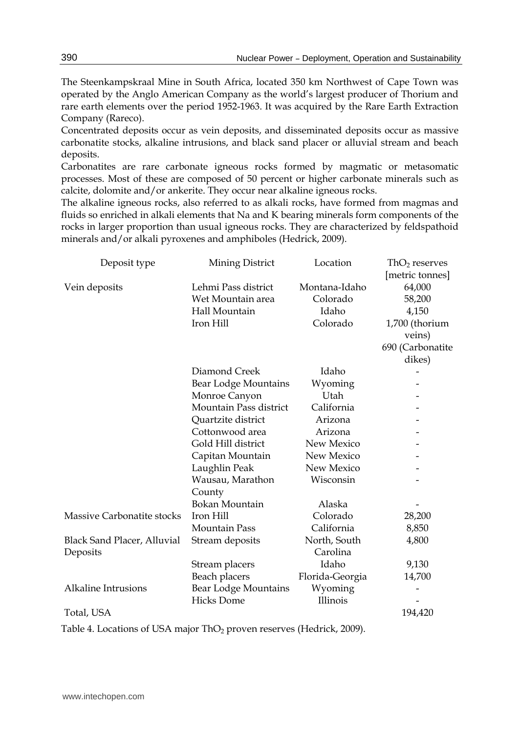The Steenkampskraal Mine in South Africa, located 350 km Northwest of Cape Town was operated by the Anglo American Company as the world's largest producer of Thorium and rare earth elements over the period 1952-1963. It was acquired by the Rare Earth Extraction Company (Rareco).

Concentrated deposits occur as vein deposits, and disseminated deposits occur as massive carbonatite stocks, alkaline intrusions, and black sand placer or alluvial stream and beach deposits.

Carbonatites are rare carbonate igneous rocks formed by magmatic or metasomatic processes. Most of these are composed of 50 percent or higher carbonate minerals such as calcite, dolomite and/or ankerite. They occur near alkaline igneous rocks.

The alkaline igneous rocks, also referred to as alkali rocks, have formed from magmas and fluids so enriched in alkali elements that Na and K bearing minerals form components of the rocks in larger proportion than usual igneous rocks. They are characterized by feldspathoid minerals and/or alkali pyroxenes and amphiboles (Hedrick, 2009).

| Deposit type                | Mining District             | Location        | $ThO2$ reserves  |
|-----------------------------|-----------------------------|-----------------|------------------|
|                             |                             |                 | [metric tonnes]  |
| Vein deposits               | Lehmi Pass district         | Montana-Idaho   | 64,000           |
|                             | Wet Mountain area           | Colorado        | 58,200           |
|                             | Hall Mountain               | Idaho           | 4,150            |
|                             | Iron Hill                   | Colorado        | 1,700 (thorium   |
|                             |                             |                 | veins)           |
|                             |                             |                 | 690 (Carbonatite |
|                             |                             |                 | dikes)           |
|                             | Diamond Creek               | Idaho           |                  |
|                             | <b>Bear Lodge Mountains</b> | Wyoming         |                  |
|                             | Monroe Canyon               | Utah            |                  |
|                             | Mountain Pass district      | California      |                  |
|                             | Quartzite district          | Arizona         |                  |
|                             | Cottonwood area             | Arizona         |                  |
|                             | Gold Hill district          | New Mexico      |                  |
|                             | Capitan Mountain            | New Mexico      |                  |
|                             | Laughlin Peak               | New Mexico      |                  |
|                             | Wausau, Marathon            | Wisconsin       |                  |
|                             | County                      |                 |                  |
|                             | Bokan Mountain              | Alaska          |                  |
| Massive Carbonatite stocks  | Iron Hill                   | Colorado        | 28,200           |
|                             | Mountain Pass               | California      | 8,850            |
| Black Sand Placer, Alluvial | Stream deposits             | North, South    | 4,800            |
| Deposits                    |                             | Carolina        |                  |
|                             | Stream placers              | Idaho           | 9,130            |
|                             | Beach placers               | Florida-Georgia | 14,700           |
| <b>Alkaline Intrusions</b>  | Bear Lodge Mountains        | Wyoming         |                  |
|                             | <b>Hicks Dome</b>           | Illinois        |                  |
| Total, USA                  |                             |                 | 194,420          |

Table 4. Locations of USA major ThO<sub>2</sub> proven reserves (Hedrick, 2009).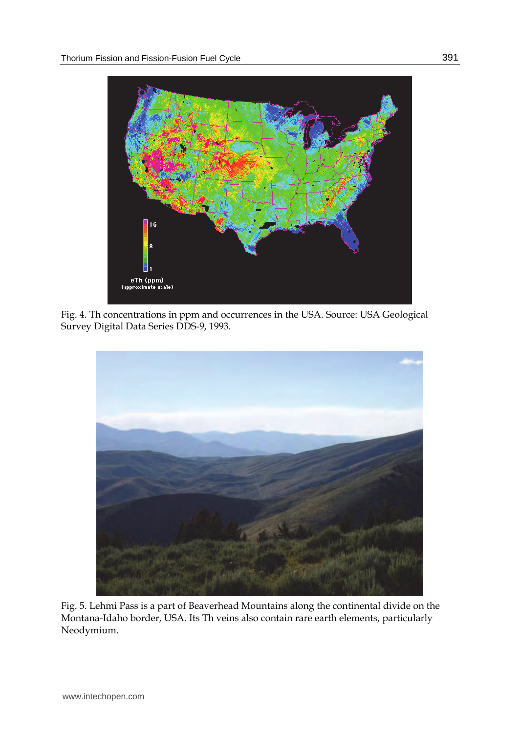

Fig. 4. Th concentrations in ppm and occurrences in the USA. Source: USA Geological Survey Digital Data Series DDS-9, 1993.



Fig. 5. Lehmi Pass is a part of Beaverhead Mountains along the continental divide on the Montana-Idaho border, USA. Its Th veins also contain rare earth elements, particularly Neodymium.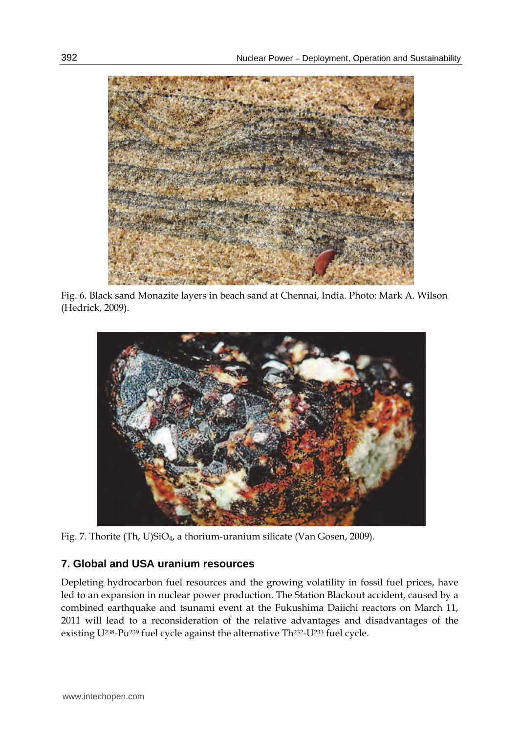

Fig. 6. Black sand Monazite layers in beach sand at Chennai, India. Photo: Mark A. Wilson (Hedrick, 2009).



Fig. 7. Thorite (Th, U)SiO4, a thorium-uranium silicate (Van Gosen, 2009).

# **7. Global and USA uranium resources**

Depleting hydrocarbon fuel resources and the growing volatility in fossil fuel prices, have led to an expansion in nuclear power production. The Station Blackout accident, caused by a combined earthquake and tsunami event at the Fukushima Daiichi reactors on March 11, 2011 will lead to a reconsideration of the relative advantages and disadvantages of the existing U238-Pu239 fuel cycle against the alternative Th232-U233 fuel cycle.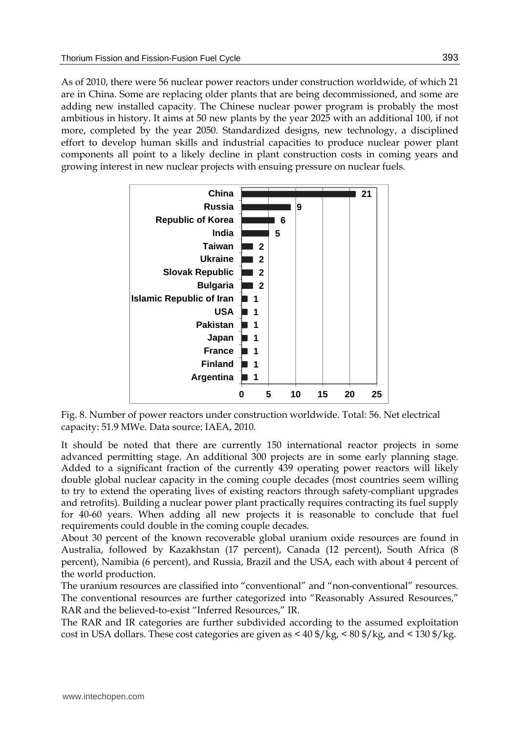As of 2010, there were 56 nuclear power reactors under construction worldwide, of which 21 are in China. Some are replacing older plants that are being decommissioned, and some are adding new installed capacity. The Chinese nuclear power program is probably the most ambitious in history. It aims at 50 new plants by the year 2025 with an additional 100, if not more, completed by the year 2050. Standardized designs, new technology, a disciplined effort to develop human skills and industrial capacities to produce nuclear power plant components all point to a likely decline in plant construction costs in coming years and growing interest in new nuclear projects with ensuing pressure on nuclear fuels.



Fig. 8. Number of power reactors under construction worldwide. Total: 56. Net electrical capacity: 51.9 MWe. Data source: IAEA, 2010.

It should be noted that there are currently 150 international reactor projects in some advanced permitting stage. An additional 300 projects are in some early planning stage. Added to a significant fraction of the currently 439 operating power reactors will likely double global nuclear capacity in the coming couple decades (most countries seem willing to try to extend the operating lives of existing reactors through safety-compliant upgrades and retrofits). Building a nuclear power plant practically requires contracting its fuel supply for 40-60 years. When adding all new projects it is reasonable to conclude that fuel requirements could double in the coming couple decades.

About 30 percent of the known recoverable global uranium oxide resources are found in Australia, followed by Kazakhstan (17 percent), Canada (12 percent), South Africa (8 percent), Namibia (6 percent), and Russia, Brazil and the USA, each with about 4 percent of the world production.

The uranium resources are classified into "conventional" and "non-conventional" resources. The conventional resources are further categorized into "Reasonably Assured Resources," RAR and the believed-to-exist "Inferred Resources," IR.

The RAR and IR categories are further subdivided according to the assumed exploitation cost in USA dollars. These cost categories are given as < 40 \$/kg, < 80 \$/kg, and < 130 \$/kg.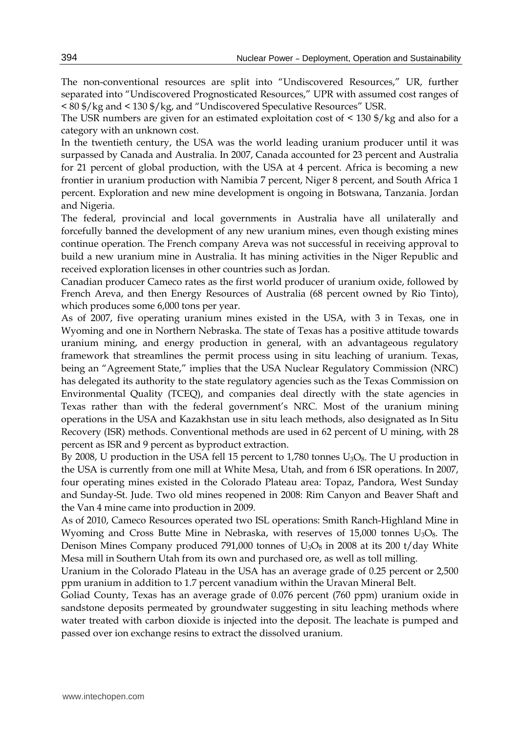The non-conventional resources are split into "Undiscovered Resources," UR, further separated into "Undiscovered Prognosticated Resources," UPR with assumed cost ranges of < 80 \$/kg and < 130 \$/kg, and "Undiscovered Speculative Resources" USR.

The USR numbers are given for an estimated exploitation cost of  $\leq 130 \frac{f}{g}$  and also for a category with an unknown cost.

In the twentieth century, the USA was the world leading uranium producer until it was surpassed by Canada and Australia. In 2007, Canada accounted for 23 percent and Australia for 21 percent of global production, with the USA at 4 percent. Africa is becoming a new frontier in uranium production with Namibia 7 percent, Niger 8 percent, and South Africa 1 percent. Exploration and new mine development is ongoing in Botswana, Tanzania. Jordan and Nigeria.

The federal, provincial and local governments in Australia have all unilaterally and forcefully banned the development of any new uranium mines, even though existing mines continue operation. The French company Areva was not successful in receiving approval to build a new uranium mine in Australia. It has mining activities in the Niger Republic and received exploration licenses in other countries such as Jordan.

Canadian producer Cameco rates as the first world producer of uranium oxide, followed by French Areva, and then Energy Resources of Australia (68 percent owned by Rio Tinto), which produces some 6,000 tons per year.

As of 2007, five operating uranium mines existed in the USA, with 3 in Texas, one in Wyoming and one in Northern Nebraska. The state of Texas has a positive attitude towards uranium mining, and energy production in general, with an advantageous regulatory framework that streamlines the permit process using in situ leaching of uranium. Texas, being an "Agreement State," implies that the USA Nuclear Regulatory Commission (NRC) has delegated its authority to the state regulatory agencies such as the Texas Commission on Environmental Quality (TCEQ), and companies deal directly with the state agencies in Texas rather than with the federal government's NRC. Most of the uranium mining operations in the USA and Kazakhstan use in situ leach methods, also designated as In Situ Recovery (ISR) methods. Conventional methods are used in 62 percent of U mining, with 28 percent as ISR and 9 percent as byproduct extraction.

By 2008, U production in the USA fell 15 percent to  $1,780$  tonnes  $U_3O_8$ . The U production in the USA is currently from one mill at White Mesa, Utah, and from 6 ISR operations. In 2007, four operating mines existed in the Colorado Plateau area: Topaz, Pandora, West Sunday and Sunday-St. Jude. Two old mines reopened in 2008: Rim Canyon and Beaver Shaft and the Van 4 mine came into production in 2009.

As of 2010, Cameco Resources operated two ISL operations: Smith Ranch-Highland Mine in Wyoming and Cross Butte Mine in Nebraska, with reserves of  $15,000$  tonnes  $U_3O_8$ . The Denison Mines Company produced 791,000 tonnes of  $U_3O_8$  in 2008 at its 200 t/day White Mesa mill in Southern Utah from its own and purchased ore, as well as toll milling.

Uranium in the Colorado Plateau in the USA has an average grade of 0.25 percent or 2,500 ppm uranium in addition to 1.7 percent vanadium within the Uravan Mineral Belt.

Goliad County, Texas has an average grade of 0.076 percent (760 ppm) uranium oxide in sandstone deposits permeated by groundwater suggesting in situ leaching methods where water treated with carbon dioxide is injected into the deposit. The leachate is pumped and passed over ion exchange resins to extract the dissolved uranium.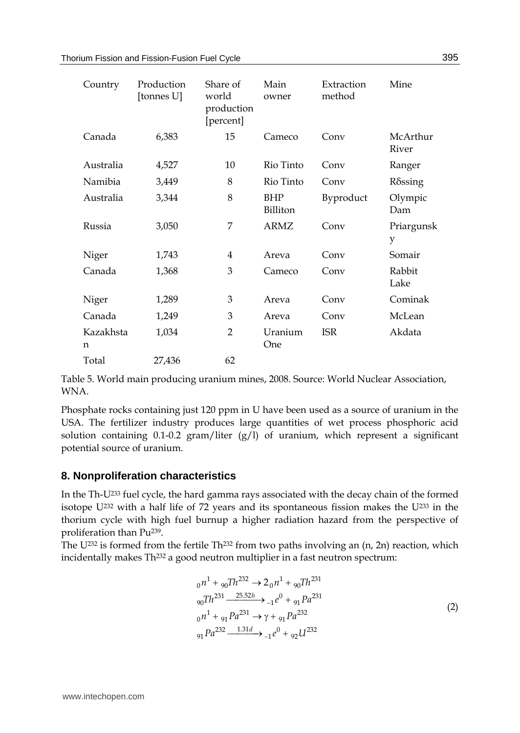| Country        | Production<br>[tonnes U] | Share of<br>world<br>production<br>[percent] | Main<br>owner   | Extraction<br>method | Mine              |
|----------------|--------------------------|----------------------------------------------|-----------------|----------------------|-------------------|
| Canada         | 6,383                    | 15                                           | Cameco          | Conv                 | McArthur<br>River |
| Australia      | 4,527                    | 10                                           | Rio Tinto       | Conv                 | Ranger            |
| Namibia        | 3,449                    | 8                                            | Rio Tinto       | Conv                 | Rδssing           |
| Australia      | 3,344                    | 8                                            | BHP<br>Billiton | Byproduct            | Olympic<br>Dam    |
| Russia         | 3,050                    | 7                                            | <b>ARMZ</b>     | Conv                 | Priargunsk<br>y   |
| Niger          | 1,743                    | 4                                            | Areva           | Conv                 | Somair            |
| Canada         | 1,368                    | 3                                            | Cameco          | Conv                 | Rabbit<br>Lake    |
| Niger          | 1,289                    | 3                                            | Areva           | Conv                 | Cominak           |
| Canada         | 1,249                    | 3                                            | Areva           | Conv                 | McLean            |
| Kazakhsta<br>n | 1,034                    | $\overline{2}$                               | Uranium<br>One  | <b>ISR</b>           | Akdata            |
| Total          | 27,436                   | 62                                           |                 |                      |                   |

Table 5. World main producing uranium mines, 2008. Source: World Nuclear Association, WNA.

Phosphate rocks containing just 120 ppm in U have been used as a source of uranium in the USA. The fertilizer industry produces large quantities of wet process phosphoric acid solution containing 0.1-0.2 gram/liter  $(g/l)$  of uranium, which represent a significant potential source of uranium.

## **8. Nonproliferation characteristics**

In the Th-U233 fuel cycle, the hard gamma rays associated with the decay chain of the formed isotope U232 with a half life of 72 years and its spontaneous fission makes the U233 in the thorium cycle with high fuel burnup a higher radiation hazard from the perspective of proliferation than Pu239.

The U<sup>232</sup> is formed from the fertile Th<sup>232</sup> from two paths involving an  $(n, 2n)$  reaction, which incidentally makes Th<sup>232</sup> a good neutron multiplier in a fast neutron spectrum:

$$
{}_{0}n^{1} + {}_{90}Th^{232} \rightarrow 2 {}_{0}n^{1} + {}_{90}Th^{231}
$$
  
\n
$$
{}_{90}Th^{231} \xrightarrow{25.52h} {}_{-1}e^{0} + {}_{91}Pa^{231}
$$
  
\n
$$
{}_{0}n^{1} + {}_{91}Pa^{231} \rightarrow \gamma + {}_{91}Pa^{232}
$$
  
\n
$$
{}_{91}Pa^{232} \xrightarrow{1.31d} {}_{-1}e^{0} + {}_{92}U^{232}
$$
\n(2)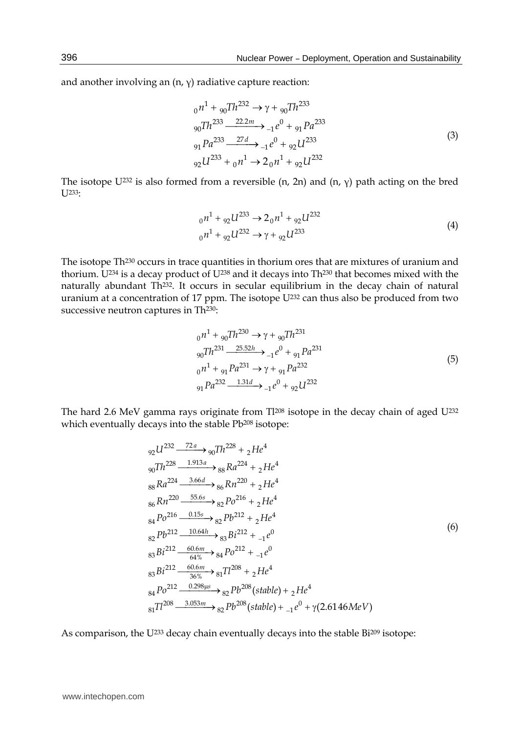and another involving an  $(n, \gamma)$  radiative capture reaction:

$$
_{0}n^{1} + {}_{90}Th^{232} \rightarrow \gamma + {}_{90}Th^{233}
$$
  
\n
$$
_{90}Th^{233} \xrightarrow{22.2m} {}_{-1}e^{0} + {}_{91}Pa^{233}
$$
  
\n
$$
_{91}Pa^{233} \xrightarrow{27d} {}_{-1}e^{0} + {}_{92}U^{233}
$$
  
\n
$$
_{92}U^{233} + {}_{0}n^{1} \rightarrow 2 {}_{0}n^{1} + {}_{92}U^{232}
$$
\n(3)

The isotope U<sup>232</sup> is also formed from a reversible (n, 2n) and (n,  $\gamma$ ) path acting on the bred  $U^{233}$ :

$$
_{0}n^{1} + {}_{92}U^{233} \rightarrow 2_{0}n^{1} + {}_{92}U^{232}
$$
\n
$$
_{0}n^{1} + {}_{92}U^{232} \rightarrow \gamma + {}_{92}U^{233}
$$
\n
$$
(4)
$$

The isotope Th230 occurs in trace quantities in thorium ores that are mixtures of uranium and thorium. U<sup>234</sup> is a decay product of U<sup>238</sup> and it decays into Th<sup>230</sup> that becomes mixed with the naturally abundant Th<sup>232</sup>. It occurs in secular equilibrium in the decay chain of natural uranium at a concentration of 17 ppm. The isotope U<sup>232</sup> can thus also be produced from two successive neutron captures in Th<sup>230</sup>:

$$
_{0}n^{1} + {}_{90}Th^{230} \rightarrow \gamma + {}_{90}Th^{231}
$$
  
\n
$$
_{90}Th^{231} \xrightarrow{25.52h} {}_{-1}e^{0} + {}_{91}Pa^{231}
$$
  
\n
$$
_{0}n^{1} + {}_{91}Pa^{231} \rightarrow \gamma + {}_{91}Pa^{232}
$$
  
\n
$$
_{91}Pa^{232} \xrightarrow{1.31d} {}_{-1}e^{0} + {}_{92}U^{232}
$$
\n
$$
(5)
$$

The hard 2.6 MeV gamma rays originate from Tl208 isotope in the decay chain of aged U<sup>232</sup> which eventually decays into the stable Pb<sup>208</sup> isotope:

$$
92 \frac{U^{232} - \frac{72a}{1.913a}}{90} \rightarrow 907h^{228} + 2He^4
$$
  
\n
$$
999 \frac{7h^{228} - \frac{1.913a}{3.66d}}{88Ra^{224} - \frac{3.66d}{3.66d}} \rightarrow 86Ra^{220} + 2He^4
$$
  
\n
$$
868 \frac{Rn^{220} - \frac{55.6s}{5.66d}}{84} \rightarrow 82Po^{216} + 2He^4
$$
  
\n
$$
82Pb^{212} - \frac{10.64h}{64\%} \rightarrow 82Pb^{212} + 2He^4
$$
  
\n
$$
82Pb^{212} - \frac{10.64h}{64\%} \rightarrow 84Po^{212} + -1e^0
$$
  
\n
$$
83Bi^{212} - \frac{60.6m}{36\%} \rightarrow 81Tl^{208} + 2He^4
$$
  
\n
$$
84Po^{212} - \frac{0.298\mu s}{36\%} \rightarrow 82Pb^{208}(stable) + 2He^4
$$
  
\n
$$
81Tl^{208} - \frac{3.053m}{36\%} \rightarrow 82Pb^{208}(stable) + -1e^0 + \gamma(2.6146MeV)
$$

As comparison, the U<sup>233</sup> decay chain eventually decays into the stable Bi<sup>209</sup> isotope: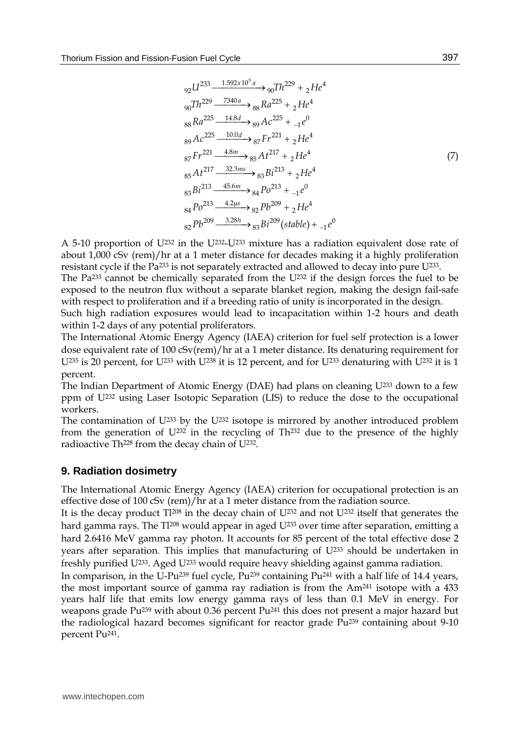$$
92 \frac{U^{233} - 1.592 \times 10^{5} a}{90} \rightarrow 907 h^{229} + 2 He^{4}
$$
  
\n
$$
90 \frac{Vh^{229} - 7340 a}{88} Ra^{225} + 2He^{4}
$$
  
\n
$$
88 \frac{Ra^{225} - 14.8d}{89} Ac^{225} + 1 e^{0}
$$
  
\n
$$
89 \frac{Ac^{225} - 10.0d}{89} 87 F^{221} + 2He^{4}
$$
  
\n
$$
87 F r^{221} - 4.8m \rightarrow 85 A t^{217} + 2He^{4}
$$
  
\n
$$
85 A t^{217} - 32.3ms \rightarrow 83 B t^{213} + 2He^{4}
$$
  
\n
$$
85 A t^{217} - 32.3ms \rightarrow 83 B t^{213} + 2He^{4}
$$
  
\n
$$
83 B t^{213} - 45.6m \rightarrow 84 Po^{213} + 1 e^{0}
$$
  
\n
$$
84 Po^{213} - 4.2 \mu s \rightarrow 82 Pb^{209} + 2He^{4}
$$
  
\n
$$
82 Pb^{209} - 3.28h \rightarrow 83 B t^{209} (stable) + 1 e^{0}
$$

A 5-10 proportion of  $U^{232}$  in the  $U^{232}-U^{233}$  mixture has a radiation equivalent dose rate of about 1,000 cSv (rem)/hr at a 1 meter distance for decades making it a highly proliferation resistant cycle if the Pa<sup>233</sup> is not separately extracted and allowed to decay into pure  $U^{233}$ .

The Pa233 cannot be chemically separated from the U232 if the design forces the fuel to be exposed to the neutron flux without a separate blanket region, making the design fail-safe with respect to proliferation and if a breeding ratio of unity is incorporated in the design.

Such high radiation exposures would lead to incapacitation within 1-2 hours and death within 1-2 days of any potential proliferators.

The International Atomic Energy Agency (IAEA) criterion for fuel self protection is a lower dose equivalent rate of 100 cSv(rem)/hr at a 1 meter distance. Its denaturing requirement for U<sup>235</sup> is 20 percent, for U<sup>233</sup> with U<sup>238</sup> it is 12 percent, and for U<sup>233</sup> denaturing with U<sup>232</sup> it is 1 percent.

The Indian Department of Atomic Energy (DAE) had plans on cleaning  $U^{233}$  down to a few ppm of U232 using Laser Isotopic Separation (LIS) to reduce the dose to the occupational workers.

The contamination of  $U^{233}$  by the  $U^{232}$  isotope is mirrored by another introduced problem from the generation of  $U^{232}$  in the recycling of Th<sup>232</sup> due to the presence of the highly radioactive Th<sup>228</sup> from the decay chain of U<sup>232</sup>.

### **9. Radiation dosimetry**

The International Atomic Energy Agency (IAEA) criterion for occupational protection is an effective dose of 100 cSv (rem)/hr at a 1 meter distance from the radiation source.

It is the decay product Tl<sup>208</sup> in the decay chain of U<sup>232</sup> and not U<sup>232</sup> itself that generates the hard gamma rays. The  $T1^{208}$  would appear in aged  $U^{233}$  over time after separation, emitting a hard 2.6416 MeV gamma ray photon. It accounts for 85 percent of the total effective dose 2 years after separation. This implies that manufacturing of U233 should be undertaken in freshly purified  $U^{233}$ . Aged  $U^{233}$  would require heavy shielding against gamma radiation.

In comparison, in the U-Pu239 fuel cycle, Pu239 containing Pu241 with a half life of 14.4 years, the most important source of gamma ray radiation is from the Am241 isotope with a 433 years half life that emits low energy gamma rays of less than 0.1 MeV in energy. For weapons grade Pu239 with about 0.36 percent Pu241 this does not present a major hazard but the radiological hazard becomes significant for reactor grade Pu239 containing about 9-10 percent Pu241.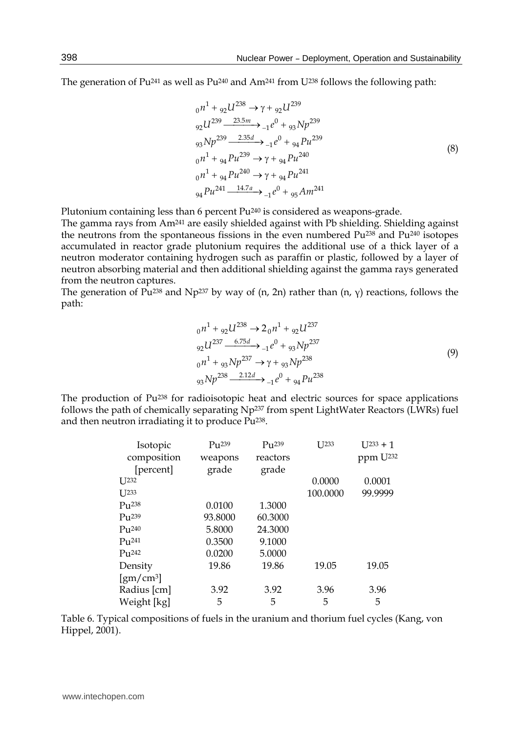The generation of Pu<sup>241</sup> as well as Pu<sup>240</sup> and Am<sup>241</sup> from U<sup>238</sup> follows the following path:

$$
_{0}n^{1} + {}_{92}U^{238} \rightarrow \gamma + {}_{92}U^{239}
$$
\n
$$
_{92}U^{239} \xrightarrow{23.5m} {}_{-1}e^{0} + {}_{93}Np^{239}
$$
\n
$$
_{93}Np^{239} \xrightarrow{2.35d} {}_{-1}e^{0} + {}_{94}Pu^{239}
$$
\n
$$
_{0}n^{1} + {}_{94}Pu^{239} \rightarrow \gamma + {}_{94}Pu^{240}
$$
\n
$$
_{0}n^{1} + {}_{94}Pu^{240} \rightarrow \gamma + {}_{94}Pu^{241}
$$
\n
$$
_{94}Pu^{241} \xrightarrow{14.7a} {}_{-1}e^{0} + {}_{95}Am^{241}
$$
\n
$$
(8)
$$

Plutonium containing less than 6 percent Pu240 is considered as weapons-grade.

The gamma rays from Am241 are easily shielded against with Pb shielding. Shielding against the neutrons from the spontaneous fissions in the even numbered  $Pu^{238}$  and  $Pu^{240}$  isotopes accumulated in reactor grade plutonium requires the additional use of a thick layer of a neutron moderator containing hydrogen such as paraffin or plastic, followed by a layer of neutron absorbing material and then additional shielding against the gamma rays generated from the neutron captures.

The generation of Pu<sup>238</sup> and Np<sup>237</sup> by way of (n, 2n) rather than (n,  $\gamma$ ) reactions, follows the path:

$$
_{0}n^{1} + {}_{92}U^{238} \rightarrow 2_{0}n^{1} + {}_{92}U^{237}
$$
  
\n
$$
_{92}U^{237} \xrightarrow{6.75d} {}_{-1}e^{0} + {}_{93}Np^{237}
$$
  
\n
$$
_{0}n^{1} + {}_{93}Np^{237} \rightarrow \gamma + {}_{93}Np^{238}
$$
  
\n
$$
_{93}Np^{238} \xrightarrow{2.12d} {}_{-1}e^{0} + {}_{94}Pu^{238}
$$
\n(9)

The production of Pu<sup>238</sup> for radioisotopic heat and electric sources for space applications follows the path of chemically separating Np237 from spent LightWater Reactors (LWRs) fuel and then neutron irradiating it to produce Pu238.

| Isotopic                      | $P_{11}$ 239 | $P_{11}$ 239 | $[I]$ $[233]$ | $I$ J233 + 1         |
|-------------------------------|--------------|--------------|---------------|----------------------|
| composition                   | weapons      | reactors     |               | ppm U <sup>232</sup> |
| [percent]                     | grade        | grade        |               |                      |
| $I$ J232                      |              |              | 0.0000        | 0.0001               |
| $[I]$ $[233]$                 |              |              | 100.0000      | 99.9999              |
| $P_{11}$ 238                  | 0.0100       | 1.3000       |               |                      |
| $P_{11}$ <sup>239</sup>       | 93.8000      | 60.3000      |               |                      |
| $P_{11}$ <sup>240</sup>       | 5.8000       | 24.3000      |               |                      |
| $P_{11}$ <sup>241</sup>       | 0.3500       | 9.1000       |               |                      |
| $P_{11}^{242}$                | 0.0200       | 5.0000       |               |                      |
| Density                       | 19.86        | 19.86        | 19.05         | 19.05                |
| $\left[\text{gm/cm}^3\right]$ |              |              |               |                      |
| Radius [cm]                   | 3.92         | 3.92         | 3.96          | 3.96                 |
| Weight [kg]                   | 5            | 5            | 5             | 5                    |

Table 6. Typical compositions of fuels in the uranium and thorium fuel cycles (Kang, von Hippel, 2001).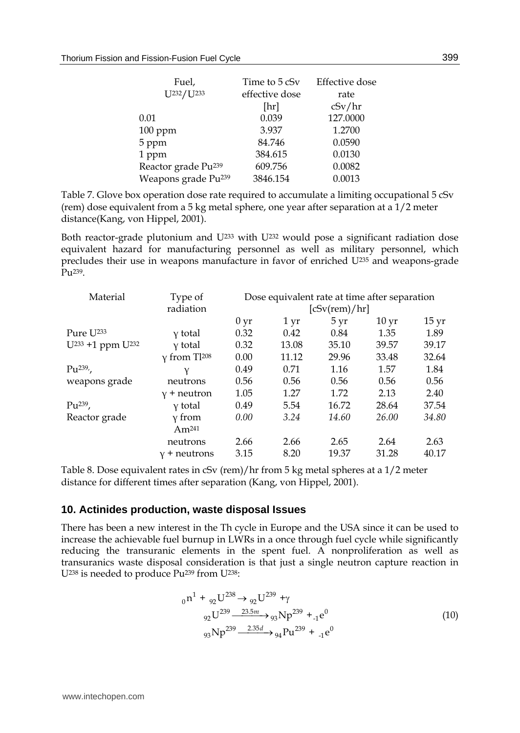| Fuel,<br>U <sub>232</sub> /U <sub>233</sub> | Time to 5 cSv<br>effective dose<br>[hr] | Effective dose<br>rate<br>cSv/hr |
|---------------------------------------------|-----------------------------------------|----------------------------------|
| 0.01                                        | 0.039                                   | 127.0000                         |
| $100$ ppm                                   | 3.937                                   | 1.2700                           |
| 5 ppm                                       | 84.746                                  | 0.0590                           |
| 1 ppm                                       | 384.615                                 | 0.0130                           |
| Reactor grade Pu <sup>239</sup>             | 609.756                                 | 0.0082                           |
| Weapons grade Pu <sup>239</sup>             | 3846.154                                | 0.0013                           |

Table 7. Glove box operation dose rate required to accumulate a limiting occupational 5 cSv (rem) dose equivalent from a 5 kg metal sphere, one year after separation at a 1/2 meter distance(Kang, von Hippel, 2001).

Both reactor-grade plutonium and  $U^{233}$  with  $U^{232}$  would pose a significant radiation dose equivalent hazard for manufacturing personnel as well as military personnel, which precludes their use in weapons manufacture in favor of enriched U235 and weapons-grade Pu<sup>239</sup>.

| Material                                 | Type of                         | Dose equivalent rate at time after separation |                   |       |                  |                    |
|------------------------------------------|---------------------------------|-----------------------------------------------|-------------------|-------|------------------|--------------------|
|                                          | radiation                       | [cSv(rem)/hr]                                 |                   |       |                  |                    |
|                                          |                                 | 0 <sub>yr</sub>                               | $1 \,\mathrm{yr}$ | 5 yr  | 10 <sub>yr</sub> | $15 \,\mathrm{yr}$ |
| Pure U <sup>233</sup>                    | y total                         | 0.32                                          | 0.42              | 0.84  | 1.35             | 1.89               |
| U <sup>233</sup> +1 ppm U <sup>232</sup> | y total                         | 0.32                                          | 13.08             | 35.10 | 39.57            | 39.17              |
|                                          | $\gamma$ from Tl <sup>208</sup> | 0.00                                          | 11.12             | 29.96 | 33.48            | 32.64              |
| $Pu^{239}$                               |                                 | 0.49                                          | 0.71              | 1.16  | 1.57             | 1.84               |
| weapons grade                            | neutrons                        | 0.56                                          | 0.56              | 0.56  | 0.56             | 0.56               |
|                                          | $y +$ neutron                   | 1.05                                          | 1.27              | 1.72  | 2.13             | 2.40               |
| $Pu^{239}$ ,                             | y total                         | 0.49                                          | 5.54              | 16.72 | 28.64            | 37.54              |
| Reactor grade                            | y from                          | 0.00                                          | 3.24              | 14.60 | 26.00            | 34.80              |
|                                          | Am <sup>241</sup>               |                                               |                   |       |                  |                    |
|                                          | neutrons                        | 2.66                                          | 2.66              | 2.65  | 2.64             | 2.63               |
|                                          | $v +$ neutrons                  | 3.15                                          | 8.20              | 19.37 | 31.28            | 40.17              |

Table 8. Dose equivalent rates in cSv (rem)/hr from 5 kg metal spheres at a 1/2 meter distance for different times after separation (Kang, von Hippel, 2001).

#### **10. Actinides production, waste disposal Issues**

There has been a new interest in the Th cycle in Europe and the USA since it can be used to increase the achievable fuel burnup in LWRs in a once through fuel cycle while significantly reducing the transuranic elements in the spent fuel. A nonproliferation as well as transuranics waste disposal consideration is that just a single neutron capture reaction in U238 is needed to produce Pu239 from U238:

$$
{}_{0}n^{1} + {}_{92}U^{238} \rightarrow {}_{92}U^{239} + \gamma
$$
  
\n
$$
{}_{92}U^{239} \xrightarrow{23.5m} {}_{93}Np^{239} + {}_{1}e^{0}
$$
  
\n
$$
{}_{93}Np^{239} \xrightarrow{2.35d} {}_{94}Pu^{239} + {}_{1}e^{0}
$$
\n(10)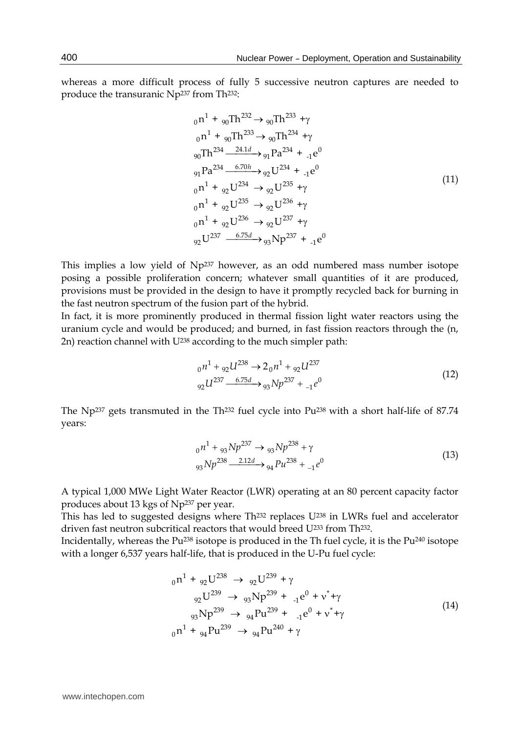whereas a more difficult process of fully 5 successive neutron captures are needed to produce the transuranic Np237 from Th232:

$$
{}_{0}n^{1} + {}_{90}Th^{232} \rightarrow {}_{90}Th^{233} + \gamma
$$
  
\n
$$
{}_{0}n^{1} + {}_{90}Th^{233} \rightarrow {}_{90}Th^{234} + \gamma
$$
  
\n
$$
{}_{90}Th^{234} \xrightarrow{24.1d} {}_{91}Pa^{234} + {}_{1}e^{0}
$$
  
\n
$$
{}_{91}Pa^{234} \xrightarrow{6.70h} {}_{92}U^{234} + {}_{1}e^{0}
$$
  
\n
$$
{}_{0}n^{1} + {}_{92}U^{234} \rightarrow {}_{92}U^{235} + \gamma
$$
  
\n
$$
{}_{0}n^{1} + {}_{92}U^{235} \rightarrow {}_{92}U^{236} + \gamma
$$
  
\n
$$
{}_{91}n^{1} + {}_{92}U^{236} \rightarrow {}_{92}U^{237} + \gamma
$$
  
\n
$$
{}_{92}U^{237} \xrightarrow{6.75d} {}_{93}Np^{237} + {}_{1}e^{0}
$$
  
\n(11)

This implies a low yield of Np<sup>237</sup> however, as an odd numbered mass number isotope posing a possible proliferation concern; whatever small quantities of it are produced, provisions must be provided in the design to have it promptly recycled back for burning in the fast neutron spectrum of the fusion part of the hybrid.

In fact, it is more prominently produced in thermal fission light water reactors using the uranium cycle and would be produced; and burned, in fast fission reactors through the (n, 2n) reaction channel with U<sup>238</sup> according to the much simpler path:

$$
_{0}n^{1} + {}_{92}U^{238} \rightarrow 2_{0}n^{1} + {}_{92}U^{237}
$$
  
\n
$$
_{92}U^{237} \xrightarrow{-6.75d} {}_{93}Np^{237} + {}_{-1}e^{0}
$$
\n(12)

The Np237 gets transmuted in the Th232 fuel cycle into Pu238 with a short half-life of 87.74 years:

$$
_{0}n^{1} + _{93}Np^{237} \rightarrow _{93}Np^{238} + \gamma
$$
  
\n
$$
_{93}Np^{238} \xrightarrow{2.12d} _{94}p u^{238} + _{1}e^{0}
$$
\n(13)

A typical 1,000 MWe Light Water Reactor (LWR) operating at an 80 percent capacity factor produces about 13 kgs of Np237 per year.

This has led to suggested designs where Th<sup>232</sup> replaces U<sup>238</sup> in LWRs fuel and accelerator driven fast neutron subcritical reactors that would breed U<sup>233</sup> from Th<sup>232</sup>.

Incidentally, whereas the Pu238 isotope is produced in the Th fuel cycle, it is the Pu240 isotope with a longer 6,537 years half-life, that is produced in the U-Pu fuel cycle:

$$
{}_{0}n^{1} + {}_{92}U^{238} \rightarrow {}_{92}U^{239} + \gamma
$$
  
\n
$$
{}_{92}U^{239} \rightarrow {}_{93}Np^{239} + {}_{-1}e^{0} + \nu^{*} + \gamma
$$
  
\n
$$
{}_{93}Np^{239} \rightarrow {}_{94}Pu^{239} + {}_{-1}e^{0} + \nu^{*} + \gamma
$$
  
\n
$$
{}_{0}n^{1} + {}_{94}Pu^{239} \rightarrow {}_{94}Pu^{240} + \gamma
$$
\n(14)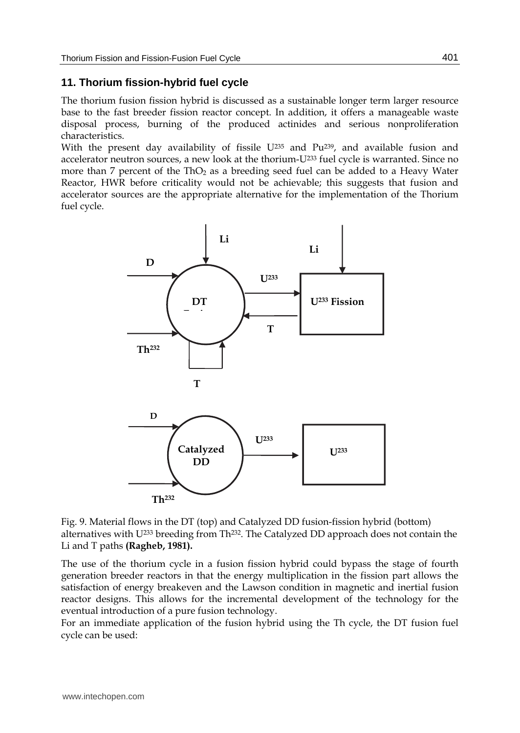## **11. Thorium fission-hybrid fuel cycle**

The thorium fusion fission hybrid is discussed as a sustainable longer term larger resource base to the fast breeder fission reactor concept. In addition, it offers a manageable waste disposal process, burning of the produced actinides and serious nonproliferation characteristics.

With the present day availability of fissile U<sup>235</sup> and Pu<sup>239</sup>, and available fusion and accelerator neutron sources, a new look at the thorium-U233 fuel cycle is warranted. Since no more than  $7$  percent of the ThO<sub>2</sub> as a breeding seed fuel can be added to a Heavy Water Reactor, HWR before criticality would not be achievable; this suggests that fusion and accelerator sources are the appropriate alternative for the implementation of the Thorium fuel cycle.



Fig. 9. Material flows in the DT (top) and Catalyzed DD fusion-fission hybrid (bottom) alternatives with U233 breeding from Th232. The Catalyzed DD approach does not contain the Li and T paths **(Ragheb, 1981).**

The use of the thorium cycle in a fusion fission hybrid could bypass the stage of fourth generation breeder reactors in that the energy multiplication in the fission part allows the satisfaction of energy breakeven and the Lawson condition in magnetic and inertial fusion reactor designs. This allows for the incremental development of the technology for the eventual introduction of a pure fusion technology.

For an immediate application of the fusion hybrid using the Th cycle, the DT fusion fuel cycle can be used: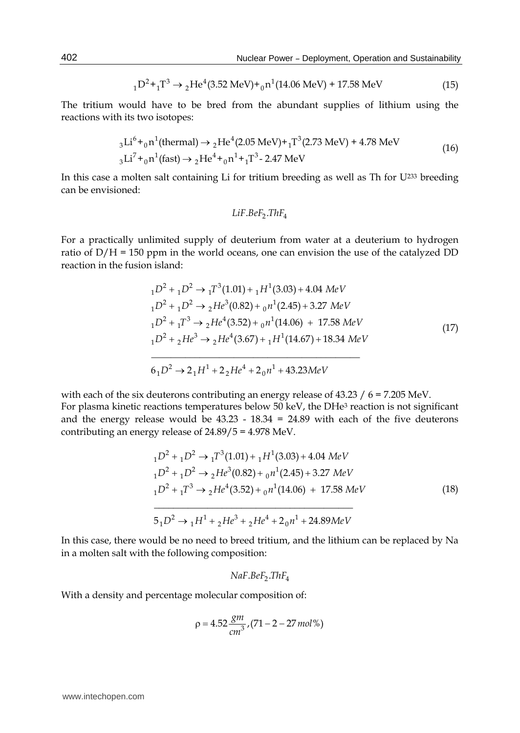$$
{}_{1}D^{2} + {}_{1}T^{3} \rightarrow {}_{2}He^{4}(3.52 \text{ MeV}) + {}_{0}n^{1}(14.06 \text{ MeV}) + 17.58 \text{ MeV}
$$
\n(15)

The tritium would have to be bred from the abundant supplies of lithium using the reactions with its two isotopes:

$$
{}_{3}\text{Li}^{6} + {}_{0}\text{n}^{1}\text{(thermal)} \rightarrow {}_{2}\text{He}^{4}\text{(2.05 MeV)} + {}_{1}\text{T}^{3}\text{(2.73 MeV)} + 4.78 \text{ MeV}
$$
\n
$$
{}_{3}\text{Li}^{7} + {}_{0}\text{n}^{1}\text{(fast)} \rightarrow {}_{2}\text{He}^{4} + {}_{0}\text{n}^{1} + {}_{1}\text{T}^{3} - 2.47 \text{ MeV}
$$
\n(16)

In this case a molten salt containing Li for tritium breeding as well as Th for U233 breeding can be envisioned:

$$
LiF.BeF_2.ThF_4
$$

For a practically unlimited supply of deuterium from water at a deuterium to hydrogen ratio of  $D/H = 150$  ppm in the world oceans, one can envision the use of the catalyzed DD reaction in the fusion island:

$$
{}_{1}D^{2} + {}_{1}D^{2} \rightarrow {}_{1}T^{3}(1.01) + {}_{1}H^{1}(3.03) + 4.04 \text{ MeV}
$$
  
\n
$$
{}_{1}D^{2} + {}_{1}D^{2} \rightarrow {}_{2}He^{3}(0.82) + {}_{0}n^{1}(2.45) + 3.27 \text{ MeV}
$$
  
\n
$$
{}_{1}D^{2} + {}_{1}T^{3} \rightarrow {}_{2}He^{4}(3.52) + {}_{0}n^{1}(14.06) + 17.58 \text{ MeV}
$$
  
\n
$$
{}_{1}D^{2} + {}_{2}He^{3} \rightarrow {}_{2}He^{4}(3.67) + {}_{1}H^{1}(14.67) + 18.34 \text{ MeV}
$$
  
\n
$$
{}_{6}D^{2} \rightarrow 2 {}_{1}H^{1} + 2 {}_{2}He^{4} + 2 {}_{0}n^{1} + 43.23 \text{MeV}
$$
\n(17)

with each of the six deuterons contributing an energy release of 43.23 / 6 = 7.205 MeV. For plasma kinetic reactions temperatures below 50 keV, the DHe<sup>3</sup> reaction is not significant and the energy release would be  $43.23 - 18.34 = 24.89$  with each of the five deuterons contributing an energy release of 24.89/5 = 4.978 MeV.

$$
{}_{1}D^{2} + {}_{1}D^{2} \rightarrow {}_{1}T^{3}(1.01) + {}_{1}H^{1}(3.03) + 4.04 \text{ MeV}
$$
  
\n
$$
{}_{1}D^{2} + {}_{1}D^{2} \rightarrow {}_{2}He^{3}(0.82) + {}_{0}n^{1}(2.45) + 3.27 \text{ MeV}
$$
  
\n
$$
{}_{1}D^{2} + {}_{1}T^{3} \rightarrow {}_{2}He^{4}(3.52) + {}_{0}n^{1}(14.06) + 17.58 \text{ MeV}
$$
  
\n
$$
5 {}_{1}D^{2} \rightarrow {}_{1}H^{1} + {}_{2}He^{3} + {}_{2}He^{4} + 2 {}_{0}n^{1} + 24.89 \text{ MeV}
$$
  
\n(18)

In this case, there would be no need to breed tritium, and the lithium can be replaced by Na in a molten salt with the following composition:

$$
NaF.BeF_2.ThF_4
$$

With a density and percentage molecular composition of:

$$
\rho = 4.52 \frac{8m}{cm^3}, (71 - 2 - 27 \, mol\,%)
$$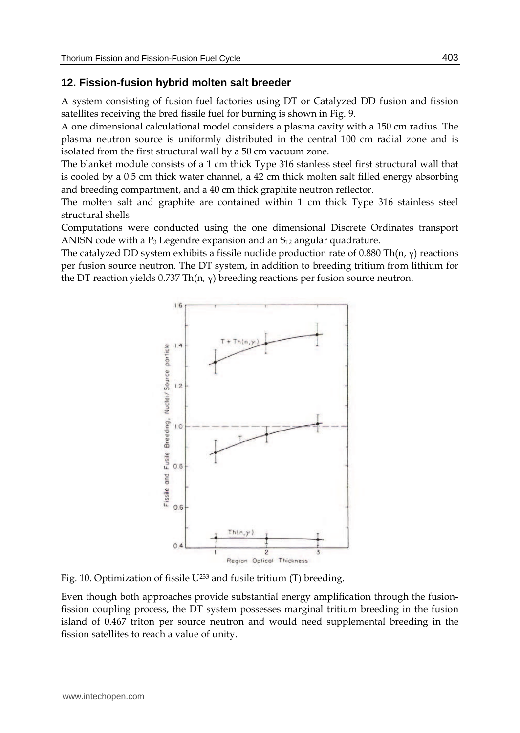### **12. Fission-fusion hybrid molten salt breeder**

A system consisting of fusion fuel factories using DT or Catalyzed DD fusion and fission satellites receiving the bred fissile fuel for burning is shown in Fig. 9.

A one dimensional calculational model considers a plasma cavity with a 150 cm radius. The plasma neutron source is uniformly distributed in the central 100 cm radial zone and is isolated from the first structural wall by a 50 cm vacuum zone.

The blanket module consists of a 1 cm thick Type 316 stanless steel first structural wall that is cooled by a 0.5 cm thick water channel, a 42 cm thick molten salt filled energy absorbing and breeding compartment, and a 40 cm thick graphite neutron reflector.

The molten salt and graphite are contained within 1 cm thick Type 316 stainless steel structural shells

Computations were conducted using the one dimensional Discrete Ordinates transport ANISN code with a  $P_3$  Legendre expansion and an  $S_{12}$  angular quadrature.

The catalyzed DD system exhibits a fissile nuclide production rate of  $0.880$  Th(n,  $\gamma$ ) reactions per fusion source neutron. The DT system, in addition to breeding tritium from lithium for the DT reaction yields 0.737 Th(n,  $\gamma$ ) breeding reactions per fusion source neutron.



Fig. 10. Optimization of fissile U233 and fusile tritium (T) breeding.

Even though both approaches provide substantial energy amplification through the fusionfission coupling process, the DT system possesses marginal tritium breeding in the fusion island of 0.467 triton per source neutron and would need supplemental breeding in the fission satellites to reach a value of unity.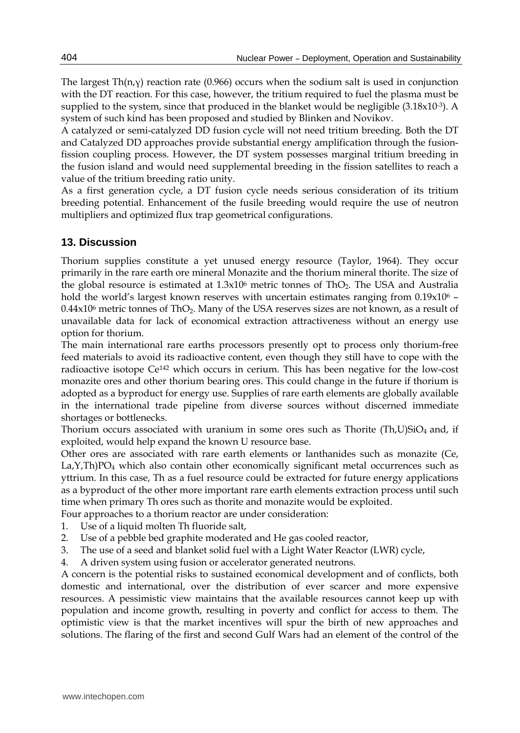The largest Th(n, $\gamma$ ) reaction rate (0.966) occurs when the sodium salt is used in conjunction with the DT reaction. For this case, however, the tritium required to fuel the plasma must be supplied to the system, since that produced in the blanket would be negligible  $(3.18x10^{-3})$ . A system of such kind has been proposed and studied by Blinken and Novikov.

A catalyzed or semi-catalyzed DD fusion cycle will not need tritium breeding. Both the DT and Catalyzed DD approaches provide substantial energy amplification through the fusionfission coupling process. However, the DT system possesses marginal tritium breeding in the fusion island and would need supplemental breeding in the fission satellites to reach a value of the tritium breeding ratio unity.

As a first generation cycle, a DT fusion cycle needs serious consideration of its tritium breeding potential. Enhancement of the fusile breeding would require the use of neutron multipliers and optimized flux trap geometrical configurations.

# **13. Discussion**

Thorium supplies constitute a yet unused energy resource (Taylor, 1964). They occur primarily in the rare earth ore mineral Monazite and the thorium mineral thorite. The size of the global resource is estimated at  $1.3x10<sup>6</sup>$  metric tonnes of ThO<sub>2</sub>. The USA and Australia hold the world's largest known reserves with uncertain estimates ranging from 0.19x10<sup>6</sup> - $0.44x10<sup>6</sup>$  metric tonnes of ThO<sub>2</sub>. Many of the USA reserves sizes are not known, as a result of unavailable data for lack of economical extraction attractiveness without an energy use option for thorium.

The main international rare earths processors presently opt to process only thorium-free feed materials to avoid its radioactive content, even though they still have to cope with the radioactive isotope Ce142 which occurs in cerium. This has been negative for the low-cost monazite ores and other thorium bearing ores. This could change in the future if thorium is adopted as a byproduct for energy use. Supplies of rare earth elements are globally available in the international trade pipeline from diverse sources without discerned immediate shortages or bottlenecks.

Thorium occurs associated with uranium in some ores such as Thorite  $(Th,U)SiO<sub>4</sub>$  and, if exploited, would help expand the known U resource base.

Other ores are associated with rare earth elements or lanthanides such as monazite (Ce, La,Y,Th)PO4 which also contain other economically significant metal occurrences such as yttrium. In this case, Th as a fuel resource could be extracted for future energy applications as a byproduct of the other more important rare earth elements extraction process until such time when primary Th ores such as thorite and monazite would be exploited.

Four approaches to a thorium reactor are under consideration:

- 1. Use of a liquid molten Th fluoride salt,
- 2. Use of a pebble bed graphite moderated and He gas cooled reactor,
- 3. The use of a seed and blanket solid fuel with a Light Water Reactor (LWR) cycle,
- 4. A driven system using fusion or accelerator generated neutrons.

A concern is the potential risks to sustained economical development and of conflicts, both domestic and international, over the distribution of ever scarcer and more expensive resources. A pessimistic view maintains that the available resources cannot keep up with population and income growth, resulting in poverty and conflict for access to them. The optimistic view is that the market incentives will spur the birth of new approaches and solutions. The flaring of the first and second Gulf Wars had an element of the control of the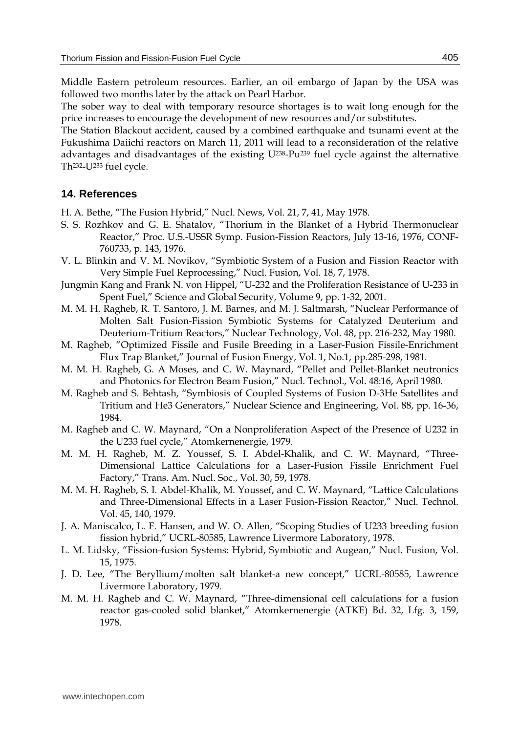Middle Eastern petroleum resources. Earlier, an oil embargo of Japan by the USA was followed two months later by the attack on Pearl Harbor.

The sober way to deal with temporary resource shortages is to wait long enough for the price increases to encourage the development of new resources and/or substitutes.

The Station Blackout accident, caused by a combined earthquake and tsunami event at the Fukushima Daiichi reactors on March 11, 2011 will lead to a reconsideration of the relative advantages and disadvantages of the existing  $U^{238}$ -Pu<sup>239</sup> fuel cycle against the alternative Th232-U233 fuel cycle.

#### **14. References**

H. A. Bethe, "The Fusion Hybrid," Nucl. News, Vol. 21, 7, 41, May 1978.

- S. S. Rozhkov and G. E. Shatalov, "Thorium in the Blanket of a Hybrid Thermonuclear Reactor," Proc. U.S.-USSR Symp. Fusion-Fission Reactors, July 13-16, 1976, CONF-760733, p. 143, 1976.
- V. L. Blinkin and V. M. Novikov, "Symbiotic System of a Fusion and Fission Reactor with Very Simple Fuel Reprocessing," Nucl. Fusion, Vol. 18, 7, 1978.
- Jungmin Kang and Frank N. von Hippel, "U-232 and the Proliferation Resistance of U-233 in Spent Fuel," Science and Global Security, Volume 9, pp. 1-32, 2001.
- M. M. H. Ragheb, R. T. Santoro, J. M. Barnes, and M. J. Saltmarsh, "Nuclear Performance of Molten Salt Fusion-Fission Symbiotic Systems for Catalyzed Deuterium and Deuterium-Tritium Reactors," Nuclear Technology, Vol. 48, pp. 216-232, May 1980.
- M. Ragheb, "Optimized Fissile and Fusile Breeding in a Laser-Fusion Fissile-Enrichment Flux Trap Blanket," Journal of Fusion Energy, Vol. 1, No.1, pp.285-298, 1981.
- M. M. H. Ragheb, G. A Moses, and C. W. Maynard, "Pellet and Pellet-Blanket neutronics and Photonics for Electron Beam Fusion," Nucl. Technol., Vol. 48:16, April 1980.
- M. Ragheb and S. Behtash, "Symbiosis of Coupled Systems of Fusion D-3He Satellites and Tritium and He3 Generators," Nuclear Science and Engineering, Vol. 88, pp. 16-36, 1984.
- M. Ragheb and C. W. Maynard, "On a Nonproliferation Aspect of the Presence of U232 in the U233 fuel cycle," Atomkernenergie, 1979.
- M. M. H. Ragheb, M. Z. Youssef, S. I. Abdel-Khalik, and C. W. Maynard, "Three-Dimensional Lattice Calculations for a Laser-Fusion Fissile Enrichment Fuel Factory," Trans. Am. Nucl. Soc., Vol. 30, 59, 1978.
- M. M. H. Ragheb, S. I. Abdel-Khalik, M. Youssef, and C. W. Maynard, "Lattice Calculations and Three-Dimensional Effects in a Laser Fusion-Fission Reactor," Nucl. Technol. Vol. 45, 140, 1979.
- J. A. Maniscalco, L. F. Hansen, and W. O. Allen, "Scoping Studies of U233 breeding fusion fission hybrid," UCRL-80585, Lawrence Livermore Laboratory, 1978.
- L. M. Lidsky, "Fission-fusion Systems: Hybrid, Symbiotic and Augean," Nucl. Fusion, Vol. 15, 1975.
- J. D. Lee, "The Beryllium/molten salt blanket-a new concept," UCRL-80585, Lawrence Livermore Laboratory, 1979.
- M. M. H. Ragheb and C. W. Maynard, "Three-dimensional cell calculations for a fusion reactor gas-cooled solid blanket," Atomkernenergie (ATKE) Bd. 32, Lfg. 3, 159, 1978.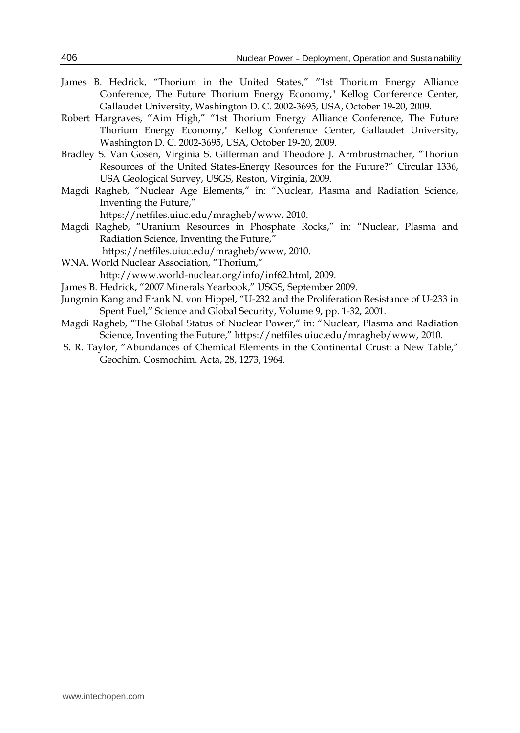- James B. Hedrick, "Thorium in the United States," "1st Thorium Energy Alliance Conference, The Future Thorium Energy Economy," Kellog Conference Center, Gallaudet University, Washington D. C. 2002-3695, USA, October 19-20, 2009.
- Robert Hargraves, "Aim High," "1st Thorium Energy Alliance Conference, The Future Thorium Energy Economy," Kellog Conference Center, Gallaudet University, Washington D. C. 2002-3695, USA, October 19-20, 2009.
- Bradley S. Van Gosen, Virginia S. Gillerman and Theodore J. Armbrustmacher, "Thoriun Resources of the United States-Energy Resources for the Future?" Circular 1336, USA Geological Survey, USGS, Reston, Virginia, 2009.
- Magdi Ragheb, "Nuclear Age Elements," in: "Nuclear, Plasma and Radiation Science, Inventing the Future,"
	- https://netfiles.uiuc.edu/mragheb/www, 2010.
- Magdi Ragheb, "Uranium Resources in Phosphate Rocks," in: "Nuclear, Plasma and Radiation Science, Inventing the Future,"
	- https://netfiles.uiuc.edu/mragheb/www, 2010.
- WNA, World Nuclear Association, "Thorium," http://www.world-nuclear.org/info/inf62.html, 2009.
- James B. Hedrick, "2007 Minerals Yearbook," USGS, September 2009.
- Jungmin Kang and Frank N. von Hippel, "U-232 and the Proliferation Resistance of U-233 in Spent Fuel," Science and Global Security, Volume 9, pp. 1-32, 2001.
- Magdi Ragheb, "The Global Status of Nuclear Power," in: "Nuclear, Plasma and Radiation Science, Inventing the Future," https://netfiles.uiuc.edu/mragheb/www, 2010.
- S. R. Taylor, "Abundances of Chemical Elements in the Continental Crust: a New Table," Geochim. Cosmochim. Acta, 28, 1273, 1964.